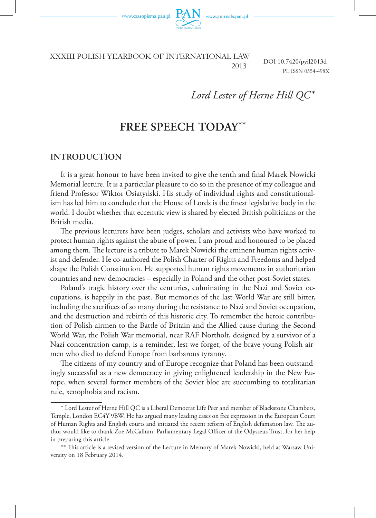

vww.journals.pan.pl

XXXIII POLISH Yearbook of international law

DOI 10.7420/pyil2013d

PL ISSN 0554-498X

# *Lord Lester of Herne Hill QC***\***

2013

# **Free Speech Today\*\***

### **Introduction**

It is a great honour to have been invited to give the tenth and final Marek Nowicki Memorial lecture. It is a particular pleasure to do so in the presence of my colleague and friend Professor Wiktor Osiatyński. His study of individual rights and constitutionalism has led him to conclude that the House of Lords is the finest legislative body in the world. I doubt whether that eccentric view is shared by elected British politicians or the British media.

The previous lecturers have been judges, scholars and activists who have worked to protect human rights against the abuse of power. I am proud and honoured to be placed among them. The lecture is a tribute to Marek Nowicki the eminent human rights activist and defender. He co-authored the Polish Charter of Rights and Freedoms and helped shape the Polish Constitution. He supported human rights movements in authoritarian countries and new democracies – especially in Poland and the other post-Soviet states.

Poland's tragic history over the centuries, culminating in the Nazi and Soviet occupations, is happily in the past. But memories of the last World War are still bitter, including the sacrifices of so many during the resistance to Nazi and Soviet occupation, and the destruction and rebirth of this historic city. To remember the heroic contribution of Polish airmen to the Battle of Britain and the Allied cause during the Second World War, the Polish War memorial, near RAF Northolt, designed by a survivor of a Nazi concentration camp, is a reminder, lest we forget, of the brave young Polish airmen who died to defend Europe from barbarous tyranny.

The citizens of my country and of Europe recognize that Poland has been outstandingly successful as a new democracy in giving enlightened leadership in the New Europe, when several former members of the Soviet bloc are succumbing to totalitarian rule, xenophobia and racism.

<sup>\*</sup> Lord Lester of Herne Hill QC is a Liberal Democrat Life Peer and member of Blackstone Chambers, Temple, London EC4Y 9BW. He has argued many leading cases on free expression in the European Court of Human Rights and English courts and initiated the recent reform of English defamation law. The author would like to thank Zoe McCallum, Parliamentary Legal Officer of the Odysseus Trust, for her help in preparing this article.

<sup>\*\*</sup> This article is a revised version of the Lecture in Memory of Marek Nowicki, held at Warsaw University on 18 February 2014.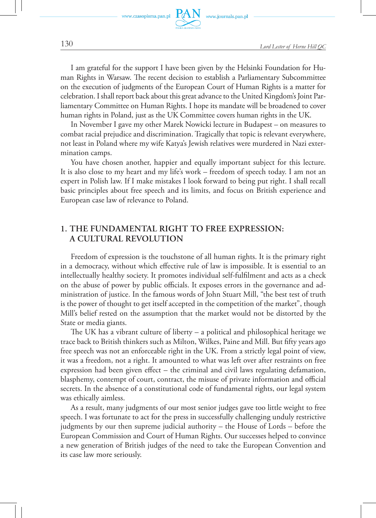

www.journals.pan.pl

I am grateful for the support I have been given by the Helsinki Foundation for Human Rights in Warsaw. The recent decision to establish a Parliamentary Subcommittee on the execution of judgments of the European Court of Human Rights is a matter for celebration. I shall report back about this great advance to the United Kingdom's Joint Parliamentary Committee on Human Rights. I hope its mandate will be broadened to cover human rights in Poland, just as the UK Committee covers human rights in the UK.

In November I gave my other Marek Nowicki lecture in Budapest – on measures to combat racial prejudice and discrimination. Tragically that topic is relevant everywhere, not least in Poland where my wife Katya's Jewish relatives were murdered in Nazi extermination camps.

You have chosen another, happier and equally important subject for this lecture. It is also close to my heart and my life's work – freedom of speech today. I am not an expert in Polish law. If I make mistakes I look forward to being put right. I shall recall basic principles about free speech and its limits, and focus on British experience and European case law of relevance to Poland.

## **1. The fundamental right to free expression: a cultural revolution**

Freedom of expression is the touchstone of all human rights. It is the primary right in a democracy, without which effective rule of law is impossible. It is essential to an intellectually healthy society. It promotes individual self-fulfilment and acts as a check on the abuse of power by public officials. It exposes errors in the governance and administration of justice. In the famous words of John Stuart Mill, "the best test of truth is the power of thought to get itself accepted in the competition of the market", though Mill's belief rested on the assumption that the market would not be distorted by the State or media giants.

The UK has a vibrant culture of liberty – a political and philosophical heritage we trace back to British thinkers such as Milton, Wilkes, Paine and Mill. But fifty years ago free speech was not an enforceable right in the UK. From a strictly legal point of view, it was a freedom, not a right. It amounted to what was left over after restraints on free expression had been given effect – the criminal and civil laws regulating defamation, blasphemy, contempt of court, contract, the misuse of private information and official secrets. In the absence of a constitutional code of fundamental rights, our legal system was ethically aimless.

As a result, many judgments of our most senior judges gave too little weight to free speech. I was fortunate to act for the press in successfully challenging unduly restrictive judgments by our then supreme judicial authority – the House of Lords – before the European Commission and Court of Human Rights. Our successes helped to convince a new generation of British judges of the need to take the European Convention and its case law more seriously.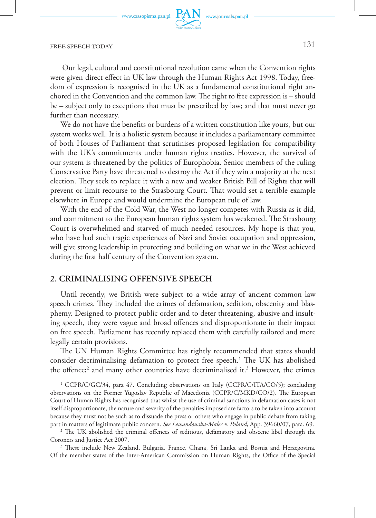FREE SPEECH TODAY 131

 Our legal, cultural and constitutional revolution came when the Convention rights were given direct effect in UK law through the Human Rights Act 1998. Today, freedom of expression is recognised in the UK as a fundamental constitutional right anchored in the Convention and the common law. The right to free expression is – should be – subject only to exceptions that must be prescribed by law; and that must never go further than necessary.

We do not have the benefits or burdens of a written constitution like yours, but our system works well. It is a holistic system because it includes a parliamentary committee of both Houses of Parliament that scrutinises proposed legislation for compatibility with the UK's commitments under human rights treaties. However, the survival of our system is threatened by the politics of Europhobia. Senior members of the ruling Conservative Party have threatened to destroy the Act if they win a majority at the next election. They seek to replace it with a new and weaker British Bill of Rights that will prevent or limit recourse to the Strasbourg Court. That would set a terrible example elsewhere in Europe and would undermine the European rule of law.

With the end of the Cold War, the West no longer competes with Russia as it did, and commitment to the European human rights system has weakened. The Strasbourg Court is overwhelmed and starved of much needed resources. My hope is that you, who have had such tragic experiences of Nazi and Soviet occupation and oppression, will give strong leadership in protecting and building on what we in the West achieved during the first half century of the Convention system.

### **2. Criminalising offensive speech**

Until recently, we British were subject to a wide array of ancient common law speech crimes. They included the crimes of defamation, sedition, obscenity and blasphemy. Designed to protect public order and to deter threatening, abusive and insulting speech, they were vague and broad offences and disproportionate in their impact on free speech. Parliament has recently replaced them with carefully tailored and more legally certain provisions.

The UN Human Rights Committee has rightly recommended that states should consider decriminalising defamation to protect free speech.<sup>1</sup> The UK has abolished the offence;<sup>2</sup> and many other countries have decriminalised it.<sup>3</sup> However, the crimes

<sup>&</sup>lt;sup>1</sup> CCPR/C/GC/34, para 47. Concluding observations on Italy (CCPR/C/ITA/CO/5); concluding observations on the Former Yugoslav Republic of Macedonia (CCPR/C/MKD/CO/2). The European Court of Human Rights has recognised that whilst the use of criminal sanctions in defamation cases is not itself disproportionate, the nature and severity of the penalties imposed are factors to be taken into account because they must not be such as to dissuade the press or others who engage in public debate from taking part in matters of legitimate public concern. *See Lewandowska-Malec v. Poland*, App. 39660/07, para. 69. 2

<sup>&</sup>lt;sup>2</sup> The UK abolished the criminal offences of seditious, defamatory and obscene libel through the Coroners and Justice Act 2007.

<sup>&</sup>lt;sup>3</sup> These include New Zealand, Bulgaria, France, Ghana, Sri Lanka and Bosnia and Herzegovina. Of the member states of the Inter-American Commission on Human Rights, the Office of the Special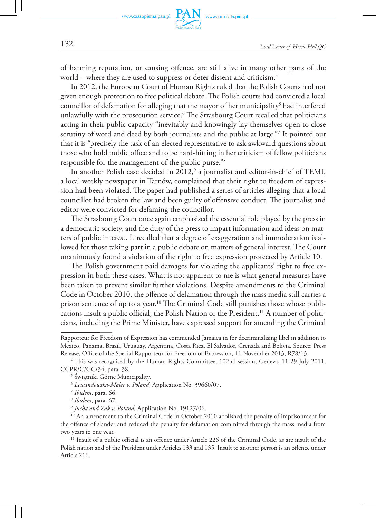of harming reputation, or causing offence, are still alive in many other parts of the world – where they are used to suppress or deter dissent and criticism.<sup>4</sup>

In 2012, the European Court of Human Rights ruled that the Polish Courts had not given enough protection to free political debate. The Polish courts had convicted a local councillor of defamation for alleging that the mayor of her municipality<sup>5</sup> had interfered unlawfully with the prosecution service.<sup>6</sup> The Strasbourg Court recalled that politicians acting in their public capacity "inevitably and knowingly lay themselves open to close scrutiny of word and deed by both journalists and the public at large."7 It pointed out that it is "precisely the task of an elected representative to ask awkward questions about those who hold public office and to be hard-hitting in her criticism of fellow politicians responsible for the management of the public purse."8

In another Polish case decided in 2012,<sup>9</sup> a journalist and editor-in-chief of TEMI, a local weekly newspaper in Tarnów, complained that their right to freedom of expression had been violated. The paper had published a series of articles alleging that a local councillor had broken the law and been guilty of offensive conduct. The journalist and editor were convicted for defaming the councillor.

The Strasbourg Court once again emphasised the essential role played by the press in a democratic society, and the duty of the press to impart information and ideas on matters of public interest. It recalled that a degree of exaggeration and immoderation is allowed for those taking part in a public debate on matters of general interest. The Court unanimously found a violation of the right to free expression protected by Article 10.

The Polish government paid damages for violating the applicants' right to free expression in both these cases. What is not apparent to me is what general measures have been taken to prevent similar further violations. Despite amendments to the Criminal Code in October 2010, the offence of defamation through the mass media still carries a prison sentence of up to a year.<sup>10</sup> The Criminal Code still punishes those whose publications insult a public official, the Polish Nation or the President.<sup>11</sup> A number of politicians, including the Prime Minister, have expressed support for amending the Criminal

Rapporteur for Freedom of Expression has commended Jamaica in for decriminalising libel in addition to Mexico, Panama, Brazil, Uruguay, Argentina, Costa Rica, El Salvador, Grenada and Bolivia. Source: Press Release, Office of the Special Rapporteur for Freedom of Expression, 11 November 2013, R78/13.

<sup>4</sup> This was recognised by the Human Rights Committee, 102nd session, Geneva, 11-29 July 2011, CCPR/C/GC/34, para. 38.

<sup>5</sup> Świątniki Górne Municipality.

<sup>6</sup> *Lewandowska-Malec v. Poland*, Application No. 39660/07.

<sup>7</sup> *Ibidem*, para. 66.

<sup>8</sup> *Ibidem*, para. 67.

<sup>9</sup> *Jucha and Zak v. Poland,* Application No. 19127/06.

<sup>&</sup>lt;sup>10</sup> An amendment to the Criminal Code in October 2010 abolished the penalty of imprisonment for the offence of slander and reduced the penalty for defamation committed through the mass media from two years to one year.

<sup>&</sup>lt;sup>11</sup> Insult of a public official is an offence under Article 226 of the Criminal Code, as are insult of the Polish nation and of the President under Articles 133 and 135. Insult to another person is an offence under Article 216.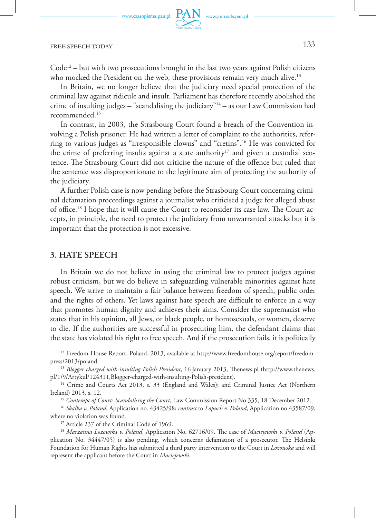FREE SPEECH TODAY 133

 $Code<sup>12</sup> – but with two processors to be useful in the last two years against Polish citizens$ who mocked the President on the web, these provisions remain very much alive.<sup>13</sup>

In Britain, we no longer believe that the judiciary need special protection of the criminal law against ridicule and insult. Parliament has therefore recently abolished the crime of insulting judges – "scandalising the judiciary"14 – as our Law Commission had recommended.15

In contrast, in 2003, the Strasbourg Court found a breach of the Convention involving a Polish prisoner. He had written a letter of complaint to the authorities, referring to various judges as "irresponsible clowns" and "cretins".16 He was convicted for the crime of preferring insults against a state authority<sup>17</sup> and given a custodial sentence. The Strasbourg Court did not criticise the nature of the offence but ruled that the sentence was disproportionate to the legitimate aim of protecting the authority of the judiciary.

A further Polish case is now pending before the Strasbourg Court concerning criminal defamation proceedings against a journalist who criticised a judge for alleged abuse of office.18 I hope that it will cause the Court to reconsider its case law. The Court accepts, in principle, the need to protect the judiciary from unwarranted attacks but it is important that the protection is not excessive.

## **3. Hate speech**

In Britain we do not believe in using the criminal law to protect judges against robust criticism, but we do believe in safeguarding vulnerable minorities against hate speech. We strive to maintain a fair balance between freedom of speech, public order and the rights of others. Yet laws against hate speech are difficult to enforce in a way that promotes human dignity and achieves their aims. Consider the supremacist who states that in his opinion, all Jews, or black people, or homosexuals, or women, deserve to die. If the authorities are successful in prosecuting him, the defendant claims that the state has violated his right to free speech. And if the prosecution fails, it is politically

<sup>12</sup> Freedom House Report, Poland, 2013, available at http://www.freedomhouse.org/report/freedompress/2013/poland.

<sup>13</sup> *Blogger charged with insulting Polish President*, 16 January 2013, Thenews.pl (http://www.thenews. pl/1/9/Artykul/124311,Blogger-charged-with-insulting-Polish-president).

<sup>&</sup>lt;sup>14</sup> Crime and Courts Act 2013, s. 33 (England and Wales); and Criminal Justice Act (Northern Ireland) 2013, s. 12.

<sup>15</sup> *Contempt of Court: Scandalising the Court*, Law Commission Report No 335, 18 December 2012.

<sup>16</sup> *Skalka v. Poland*, Application no. 43425/98; *contrast* to *Lopuch v. Poland*, Application no 43587/09, where no violation was found*.*

<sup>&</sup>lt;sup>17</sup> Article 237 of the Criminal Code of 1969.

<sup>18</sup> *Marzanna Lozowska v. Poland*, Application No. 62716/09. The case of *Maciejewski v. Poland* (Application No. 34447/05) is also pending, which concerns defamation of a prosecutor. The Helsinki Foundation for Human Rights has submitted a third party intervention to the Court in *Lozowska* and will represent the applicant before the Court in *Maciejewski*.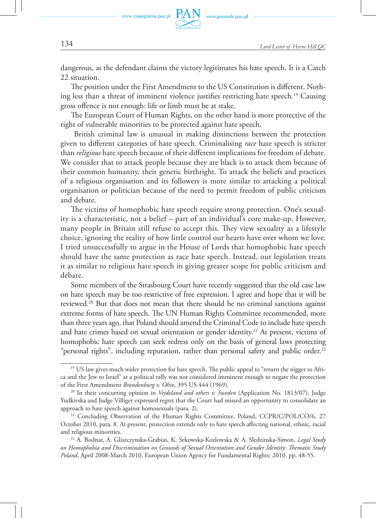dangerous, as the defendant claims the victory legitimates his hate speech. It is a Catch 22 situation.

The position under the First Amendment to the US Constitution is different. Nothing less than a threat of imminent violence justifies restricting hate speech.<sup>19</sup> Causing gross offence is not enough: life or limb must be at stake.

The European Court of Human Rights, on the other hand is more protective of the right of vulnerable minorities to be protected against hate speech.

 British criminal law is unusual in making distinctions between the protection given to different categories of hate speech. Criminalising *race* hate speech is stricter than *religious* hate speech because of their different implications for freedom of debate. We consider that to attack people because they are black is to attack them because of their common humanity, their genetic birthright. To attack the beliefs and practices of a religious organisation and its followers is more similar to attacking a political organisation or politician because of the need to permit freedom of public criticism and debate.

The victims of homophobic hate speech require strong protection. One's sexuality is a characteristic, not a belief – part of an individual's core make-up. However, many people in Britain still refuse to accept this. They view sexuality as a lifestyle choice, ignoring the reality of how little control our hearts have over whom we love. I tried unsuccessfully to argue in the House of Lords that homophobic hate speech should have the same protection as race hate speech. Instead, our legislation treats it as similar to religious hate speech in giving greater scope for public criticism and debate.

Some members of the Strasbourg Court have recently suggested that the old case law on hate speech may be too restrictive of free expression. I agree and hope that it will be reviewed.20 But that does not mean that there should be no criminal sanctions against extreme forms of hate speech. The UN Human Rights Committee recommended, more than three years ago, that Poland should amend the Criminal Code to include hate speech and hate crimes based on sexual orientation or gender identity.<sup>21</sup> At present, victims of homophobic hate speech can seek redress only on the basis of general laws protecting "personal rights", including reputation, rather than personal safety and public order.<sup>22</sup>

<sup>&</sup>lt;sup>19</sup> US law gives much wider protection for hate speech. The public appeal to "return the nigger to Africa and the Jew to Israel" at a political rally was not considered imminent enough to negate the protection of the First Amendment *Brandenburg v. Ohio*, 395 US 444 (1969).

<sup>20</sup> In their concurring opinion in *Vejdeland and others v. Sweden* (Application No. 1813/07), Judge Yudkivska and Judge Villiger expressed regret that the Court had missed an opportunity to consolidate an approach to hate speech against homosexuals (para. 2).

<sup>&</sup>lt;sup>21</sup> Concluding Observation of the Human Rights Committee, Poland, CCPR/C/POL/CO/6, 27 October 2010, para. 8. At present, protection extends only to hate speech affecting national, ethnic, racial and religious minorities. 22 A. Bodnar, A. Gliszczynska-Grabias, K. Sekowska-Kozlowska & A. Sledzinska-Simon, *Legal Study* 

*on Homophobia and Discrimination on Grounds of Sexual Orientation and Gender Identity: Thematic Study Poland*, April 2008-March 2010, European Union Agency for Fundamental Rights: 2010, pp. 48-55.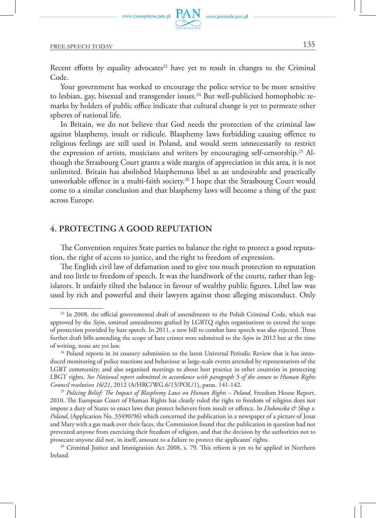FREE SPEECH TODAY 135

Recent efforts by equality advocates<sup>23</sup> have yet to result in changes to the Criminal Code.

Your government has worked to encourage the police service to be more sensitive to lesbian, gay, bisexual and transgender issues.<sup>24</sup> But well-publicised homophobic remarks by holders of public office indicate that cultural change is yet to permeate other spheres of national life.

In Britain, we do not believe that God needs the protection of the criminal law against blasphemy, insult or ridicule. Blasphemy laws forbidding causing offence to religious feelings are still used in Poland, and would seem unnecessarily to restrict the expression of artists, musicians and writers by encouraging self-censorship.25 Although the Strasbourg Court grants a wide margin of appreciation in this area, it is not unlimited. Britain has abolished blasphemous libel as an undesirable and practically unworkable offence in a multi-faith society.26 I hope that the Strasbourg Court would come to a similar conclusion and that blasphemy laws will become a thing of the past across Europe.

### **4. Protecting a good reputation**

The Convention requires State parties to balance the right to protect a good reputation, the right of access to justice, and the right to freedom of expression.

The English civil law of defamation used to give too much protection to reputation and too little to freedom of speech. It was the handiwork of the courts, rather than legislators. It unfairly tilted the balance in favour of wealthy public figures. Libel law was used by rich and powerful and their lawyers against those alleging misconduct. Only

<sup>&</sup>lt;sup>23</sup> In 2008, the official governmental draft of amendments to the Polish Criminal Code, which was approved by the *Sejm*, omitted amendments grafted by LGBTQ rights organisations to extend the scope of protection provided by hate speech. In 2011, a new bill to combat hate speech was also rejected. Three further draft bills amending the scope of hate crimes were submitted to the *Sejm* in 2012 but at the time of writing, none are yet law.

<sup>&</sup>lt;sup>24</sup> Poland reports in its country submission to the latest Universal Periodic Review that it has introduced monitoring of police reactions and behaviour at large-scale events attended by representatives of the LGBT community; and also organised meetings to about best practice in other countries in protecting LBGT rights. *See National report submitted in accordance with paragraph 5 of the annex to Human Rights Council resolution 16/21*, 2012 (A/HRC/WG.6/13/POL/1), paras. 141-142.

<sup>25</sup> *Policing Belief: The Impact of Blasphemy Laws on Human Rights – Poland*, Freedom House Report, 2010. The European Court of Human Rights has clearly ruled the right to freedom of religion does not impose a duty of States to enact laws that protect believers from insult or offence. In *Dubowska & Skup v. Poland*, (Application No. 33490/96) which concerned the publication in a newspaper of a picture of Jesus and Mary with a gas mask over their faces, the Commission found that the publication in question had not prevented anyone from exercising their freedom of religion, and that the decision by the authorities not to prosecute anyone did not, in itself, amount to a failure to protect the applicants' rights.

<sup>&</sup>lt;sup>26</sup> Criminal Justice and Immigration Act 2008, s. 79. This reform is yet to be applied in Northern Ireland.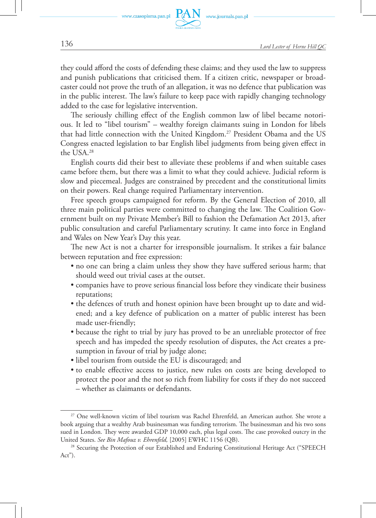

www.journals.pan.pl

they could afford the costs of defending these claims; and they used the law to suppress and punish publications that criticised them. If a citizen critic, newspaper or broadcaster could not prove the truth of an allegation, it was no defence that publication was in the public interest. The law's failure to keep pace with rapidly changing technology added to the case for legislative intervention.

The seriously chilling effect of the English common law of libel became notorious. It led to "libel tourism" – wealthy foreign claimants suing in London for libels that had little connection with the United Kingdom.27 President Obama and the US Congress enacted legislation to bar English libel judgments from being given effect in the USA.28

English courts did their best to alleviate these problems if and when suitable cases came before them, but there was a limit to what they could achieve. Judicial reform is slow and piecemeal. Judges are constrained by precedent and the constitutional limits on their powers. Real change required Parliamentary intervention.

Free speech groups campaigned for reform. By the General Election of 2010, all three main political parties were committed to changing the law. The Coalition Government built on my Private Member's Bill to fashion the Defamation Act 2013, after public consultation and careful Parliamentary scrutiny. It came into force in England and Wales on New Year's Day this year.

The new Act is not a charter for irresponsible journalism. It strikes a fair balance between reputation and free expression:

- no one can bring a claim unless they show they have suffered serious harm; that should weed out trivial cases at the outset.
- companies have to prove serious financial loss before they vindicate their business reputations;
- the defences of truth and honest opinion have been brought up to date and widened; and a key defence of publication on a matter of public interest has been made user-friendly;
- because the right to trial by jury has proved to be an unreliable protector of free speech and has impeded the speedy resolution of disputes, the Act creates a presumption in favour of trial by judge alone;
- libel tourism from outside the EU is discouraged; and
- to enable effective access to justice, new rules on costs are being developed to protect the poor and the not so rich from liability for costs if they do not succeed – whether as claimants or defendants.

<sup>27</sup> One well-known victim of libel tourism was Rachel Ehrenfeld, an American author. She wrote a book arguing that a wealthy Arab businessman was funding terrorism. The businessman and his two sons sued in London. They were awarded GDP 10,000 each, plus legal costs. The case provoked outcry in the United States. *See Bin Mafouz v. Ehrenfeld,* [2005] EWHC 1156 (QB).

<sup>&</sup>lt;sup>28</sup> Securing the Protection of our Established and Enduring Constitutional Heritage Act ("SPEECH Act").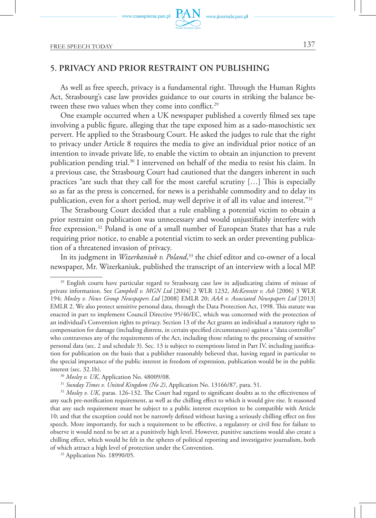FREE SPEECH TODAY 137

# **5. Privacy and prior restraint on publishing**

As well as free speech, privacy is a fundamental right. Through the Human Rights Act, Strasbourg's case law provides guidance to our courts in striking the balance between these two values when they come into conflict.<sup>29</sup>

One example occurred when a UK newspaper published a covertly filmed sex tape involving a public figure, alleging that the tape exposed him as a sado-masochistic sex pervert. He applied to the Strasbourg Court. He asked the judges to rule that the right to privacy under Article 8 requires the media to give an individual prior notice of an intention to invade private life, to enable the victim to obtain an injunction to prevent publication pending trial.30 I intervened on behalf of the media to resist his claim. In a previous case*,* the Strasbourg Court had cautioned that the dangers inherent in such practices "are such that they call for the most careful scrutiny […] This is especially so as far as the press is concerned, for news is a perishable commodity and to delay its publication, even for a short period, may well deprive it of all its value and interest."31

The Strasbourg Court decided that a rule enabling a potential victim to obtain a prior restraint on publication was unnecessary and would unjustifiably interfere with free expression.32 Poland is one of a small number of European States that has a rule requiring prior notice, to enable a potential victim to seek an order preventing publication of a threatened invasion of privacy.

In its judgment in *Wizerkaniuk v. Poland*, <sup>33</sup> the chief editor and co-owner of a local newspaper, Mr. Wizerkaniuk, published the transcript of an interview with a local MP.

<sup>&</sup>lt;sup>29</sup> English courts have particular regard to Strasbourg case law in adjudicating claims of misuse of private information. See *Campbell v. MGN Ltd* [2004] 2 WLR 1232, *McKennitt v. Ash* [2006] 3 WLR 194; *Mosley v. News Group Newspapers Ltd* [2008] EMLR 20; *AAA v. Associated Newspapers Ltd* [2013] EMLR 2. We also protect sensitive personal data, through the Data Protection Act, 1998. This statute was enacted in part to implement Council Directive 95/46/EC, which was concerned with the protection of an individual's Convention rights to privacy. Section 13 of the Act grants an individual a statutory right to compensation for damage (including distress, in certain specified circumstances) against a "data controller" who contravenes any of the requirements of the Act, including those relating to the processing of sensitive personal data (sec. 2 and schedule 3). Sec. 13 is subject to exemptions listed in Part IV, including justification for publication on the basis that a publisher reasonably believed that, having regard in particular to the special importance of the public interest in freedom of expression, publication would be in the public interest (sec. 32.1b).

<sup>30</sup> *Mosley v. UK*, Application No. 48009/08.

<sup>31</sup> *Sunday Times v. United Kingdom (No 2)*, Application No. 13166/87, para. 51.

<sup>&</sup>lt;sup>32</sup> Mosley v. UK, paras. 126-132. The Court had regard to significant doubts as to the effectiveness of any such pre-notification requirement, as well as the chilling effect to which it would give rise. It reasoned that any such requirement must be subject to a public interest exception to be compatible with Article 10; and that the exception could not be narrowly defined without having a seriously chilling effect on free speech. More importantly, for such a requirement to be effective, a regulatory or civil fine for failure to observe it would need to be set at a punitively high level. However, punitive sanctions would also create a chilling effect, which would be felt in the spheres of political reporting and investigative journalism, both of which attract a high level of protection under the Convention.

<sup>33</sup> Application No. 18990/05.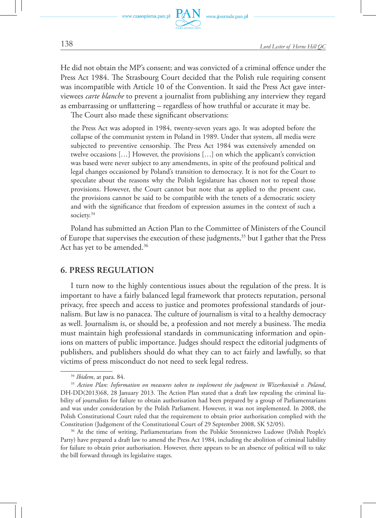

www.journals.pan.pl

He did not obtain the MP's consent; and was convicted of a criminal offence under the Press Act 1984. The Strasbourg Court decided that the Polish rule requiring consent was incompatible with Article 10 of the Convention. It said the Press Act gave interviewees *carte blanche* to prevent a journalist from publishing any interview they regard as embarrassing or unflattering – regardless of how truthful or accurate it may be.

The Court also made these significant observations:

the Press Act was adopted in 1984, twenty-seven years ago. It was adopted before the collapse of the communist system in Poland in 1989. Under that system, all media were subjected to preventive censorship. The Press Act 1984 was extensively amended on twelve occasions […] However, the provisions […] on which the applicant's conviction was based were never subject to any amendments, in spite of the profound political and legal changes occasioned by Poland's transition to democracy. It is not for the Court to speculate about the reasons why the Polish legislature has chosen not to repeal those provisions. However, the Court cannot but note that as applied to the present case, the provisions cannot be said to be compatible with the tenets of a democratic society and with the significance that freedom of expression assumes in the context of such a society.<sup>34</sup>

Poland has submitted an Action Plan to the Committee of Ministers of the Council of Europe that supervises the execution of these judgments,35 but I gather that the Press Act has yet to be amended.<sup>36</sup>

## **6. Press regulation**

I turn now to the highly contentious issues about the regulation of the press. It is important to have a fairly balanced legal framework that protects reputation, personal privacy, free speech and access to justice and promotes professional standards of journalism. But law is no panacea. The culture of journalism is vital to a healthy democracy as well. Journalism is, or should be, a profession and not merely a business. The media must maintain high professional standards in communicating information and opinions on matters of public importance. Judges should respect the editorial judgments of publishers, and publishers should do what they can to act fairly and lawfully, so that victims of press misconduct do not need to seek legal redress.

<sup>36</sup> At the time of writing, Parliamentarians from the Polskie Stronnictwo Ludowe (Polish People's Party) have prepared a draft law to amend the Press Act 1984, including the abolition of criminal liability for failure to obtain prior authorisation. However, there appears to be an absence of political will to take the bill forward through its legislative stages.

<sup>34</sup> *Ibidem*, at para. 84.

<sup>35</sup> *Action Plan: Information on measures taken to implement the judgment in Wizerkaniuk v. Poland*, DH-DD(2013)68, 28 January 2013. The Action Plan stated that a draft law repealing the criminal liability of journalists for failure to obtain authorisation had been prepared by a group of Parliamentarians and was under consideration by the Polish Parliament. However, it was not implemented. In 2008, the Polish Constitutional Court ruled that the requirement to obtain prior authorisation complied with the Constitution (Judgement of the Constitutional Court of 29 September 2008, SK 52/05).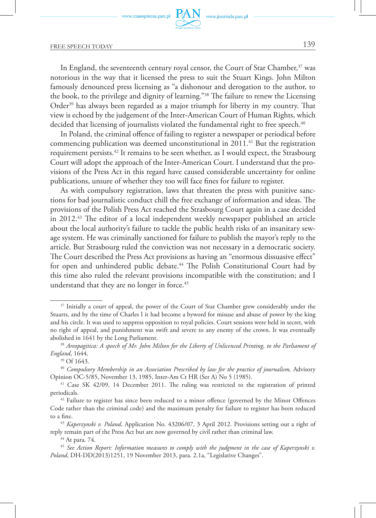

## FREE SPEECH TODAY 139

In England, the seventeenth century royal censor, the Court of Star Chamber,<sup>37</sup> was notorious in the way that it licensed the press to suit the Stuart Kings. John Milton famously denounced press licensing as "a dishonour and derogation to the author, to the book, to the privilege and dignity of learning."38 The failure to renew the Licensing Order<sup>39</sup> has always been regarded as a major triumph for liberty in my country. That view is echoed by the judgement of the Inter-American Court of Human Rights, which decided that licensing of journalists violated the fundamental right to free speech.<sup>40</sup>

In Poland, the criminal offence of failing to register a newspaper or periodical before commencing publication was deemed unconstitutional in 2011.<sup>41</sup> But the registration requirement persists.42 It remains to be seen whether, as I would expect, the Strasbourg Court will adopt the approach of the Inter-American Court. I understand that the provisions of the Press Act in this regard have caused considerable uncertainty for online publications, unsure of whether they too will face fines for failure to register.

As with compulsory registration, laws that threaten the press with punitive sanctions for bad journalistic conduct chill the free exchange of information and ideas. The provisions of the Polish Press Act reached the Strasbourg Court again in a case decided in 2012.<sup>43</sup> The editor of a local independent weekly newspaper published an article about the local authority's failure to tackle the public health risks of an insanitary sewage system. He was criminally sanctioned for failure to publish the mayor's reply to the article. But Strasbourg ruled the conviction was not necessary in a democratic society. The Court described the Press Act provisions as having an "enormous dissuasive effect" for open and unhindered public debate.<sup>44</sup> The Polish Constitutional Court had by this time also ruled the relevant provisions incompatible with the constitution; and I understand that they are no longer in force.<sup>45</sup>

<sup>&</sup>lt;sup>37</sup> Initially a court of appeal, the power of the Court of Star Chamber grew considerably under the Stuarts, and by the time of Charles I it had become a byword for misuse and abuse of power by the king and his circle. It was used to suppress opposition to royal policies. Court sessions were held in secret, with no right of appeal, and punishment was swift and severe to any enemy of the crown. It was eventually abolished in 1641 by the Long Parliament.

<sup>38</sup> *Areopagitica: A speech of Mr. John Milton for the Liberty of Unlicenced Printing, to the Parliament of England*, 1644.

<sup>39</sup> Of 1643.

<sup>&</sup>lt;sup>40</sup> Compulsory Membership in an Association Prescribed by law for the practice of journalism, Advisory Opinion OC-5/85, November 13, 1985, Inter-Am Ct HR (Ser A) No 5 (1985).

<sup>&</sup>lt;sup>41</sup> Case SK 42/09, 14 December 2011. The ruling was restricted to the registration of printed periodicals.

 $42$  Failure to register has since been reduced to a minor offence (governed by the Minor Offences Code rather than the criminal code) and the maximum penalty for failure to register has been reduced to a fine.

<sup>43</sup> *Kaperzynski v. Poland*, Application No. 43206/07, 3 April 2012. Provisions setting out a right of reply remain part of the Press Act but are now governed by civil rather than criminal law.

<sup>44</sup> At para. 74.

<sup>45</sup> *See Action Report: Information measures to comply with the judgment in the case of Kaperzynski v. Poland*, DH-DD(2013)1251, 19 November 2013, para. 2.1a, "Legislative Changes".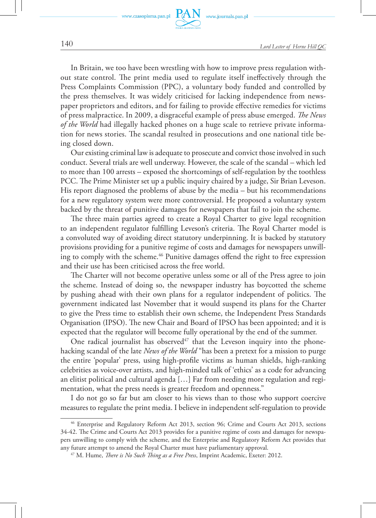

www.journals.pan.pl

In Britain, we too have been wrestling with how to improve press regulation without state control. The print media used to regulate itself ineffectively through the Press Complaints Commission (PPC), a voluntary body funded and controlled by the press themselves. It was widely criticised for lacking independence from newspaper proprietors and editors, and for failing to provide effective remedies for victims of press malpractice. In 2009, a disgraceful example of press abuse emerged. *The News of the World* had illegally hacked phones on a huge scale to retrieve private information for news stories. The scandal resulted in prosecutions and one national title being closed down.

Our existing criminal law is adequate to prosecute and convict those involved in such conduct. Several trials are well underway. However, the scale of the scandal – which led to more than 100 arrests – exposed the shortcomings of self-regulation by the toothless PCC. The Prime Minister set up a public inquiry chaired by a judge, Sir Brian Leveson. His report diagnosed the problems of abuse by the media – but his recommendations for a new regulatory system were more controversial. He proposed a voluntary system backed by the threat of punitive damages for newspapers that fail to join the scheme.

The three main parties agreed to create a Royal Charter to give legal recognition to an independent regulator fulfilling Leveson's criteria. The Royal Charter model is a convoluted way of avoiding direct statutory underpinning. It is backed by statutory provisions providing for a punitive regime of costs and damages for newspapers unwilling to comply with the scheme.<sup>46</sup> Punitive damages offend the right to free expression and their use has been criticised across the free world.

The Charter will not become operative unless some or all of the Press agree to join the scheme. Instead of doing so, the newspaper industry has boycotted the scheme by pushing ahead with their own plans for a regulator independent of politics. The government indicated last November that it would suspend its plans for the Charter to give the Press time to establish their own scheme, the Independent Press Standards Organisation (IPSO). The new Chair and Board of IPSO has been appointed; and it is expected that the regulator will become fully operational by the end of the summer.

One radical journalist has observed $47$  that the Leveson inquiry into the phonehacking scandal of the late *News of the World* "has been a pretext for a mission to purge the entire 'popular' press, using high-profile victims as human shields, high-ranking celebrities as voice-over artists, and high-minded talk of 'ethics' as a code for advancing an elitist political and cultural agenda […] Far from needing more regulation and regimentation, what the press needs is greater freedom and openness."

I do not go so far but am closer to his views than to those who support coercive measures to regulate the print media. I believe in independent self-regulation to provide

<sup>46</sup> Enterprise and Regulatory Reform Act 2013, section 96; Crime and Courts Act 2013, sections 34-42. The Crime and Courts Act 2013 provides for a punitive regime of costs and damages for newspapers unwilling to comply with the scheme, and the Enterprise and Regulatory Reform Act provides that any future attempt to amend the Royal Charter must have parliamentary approval. 47 M. Hume, *There is No Such Thing as a Free Press*, Imprint Academic, Exeter: 2012.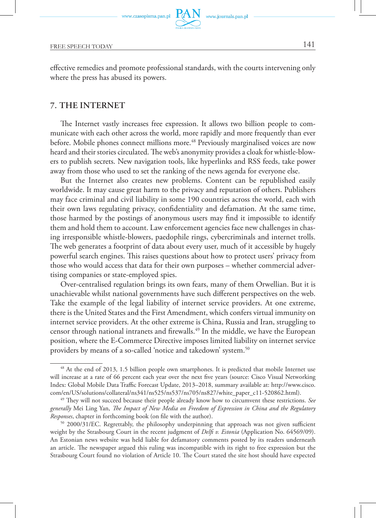effective remedies and promote professional standards, with the courts intervening only where the press has abused its powers.

## **7. The Internet**

The Internet vastly increases free expression. It allows two billion people to communicate with each other across the world, more rapidly and more frequently than ever before. Mobile phones connect millions more.<sup>48</sup> Previously marginalised voices are now heard and their stories circulated. The web's anonymity provides a cloak for whistle-blowers to publish secrets. New navigation tools, like hyperlinks and RSS feeds, take power away from those who used to set the ranking of the news agenda for everyone else.

But the Internet also creates new problems. Content can be republished easily worldwide. It may cause great harm to the privacy and reputation of others. Publishers may face criminal and civil liability in some 190 countries across the world, each with their own laws regulating privacy, confidentiality and defamation. At the same time, those harmed by the postings of anonymous users may find it impossible to identify them and hold them to account. Law enforcement agencies face new challenges in chasing irresponsible whistle-blowers, paedophile rings, cybercriminals and internet trolls. The web generates a footprint of data about every user, much of it accessible by hugely powerful search engines. This raises questions about how to protect users' privacy from those who would access that data for their own purposes – whether commercial advertising companies or state-employed spies.

Over-centralised regulation brings its own fears, many of them Orwellian. But it is unachievable whilst national governments have such different perspectives on the web. Take the example of the legal liability of internet service providers. At one extreme, there is the United States and the First Amendment, which confers virtual immunity on internet service providers. At the other extreme is China, Russia and Iran, struggling to censor through national intranets and firewalls.49 In the middle, we have the European position, where the E-Commerce Directive imposes limited liability on internet service providers by means of a so-called 'notice and takedown' system.<sup>50</sup>

<sup>48</sup> At the end of 2013, 1.5 billion people own smartphones. It is predicted that mobile Internet use will increase at a rate of 66 percent each year over the next five years (source: Cisco Visual Networking Index: Global Mobile Data Traffic Forecast Update, 2013–2018, summary available at: http://www.cisco. com/en/US/solutions/collateral/ns341/ns525/ns537/ns705/ns827/white\_paper\_c11-520862.html).

<sup>49</sup> They will not succeed because their people already know how to circumvent these restrictions. *See generally* Mei Ling Yan, *The Impact of New Media on Freedom of Expression in China and the Regulatory Responses*, chapter in forthcoming book (on file with the author). 50 2000/31/EC. Regrettably, the philosophy underpinning that approach was not given sufficient

weight by the Strasbourg Court in the recent judgment of *Delfi v. Estonia* (Application No. 64569/09). An Estonian news website was held liable for defamatory comments posted by its readers underneath an article. The newspaper argued this ruling was incompatible with its right to free expression but the Strasbourg Court found no violation of Article 10. The Court stated the site host should have expected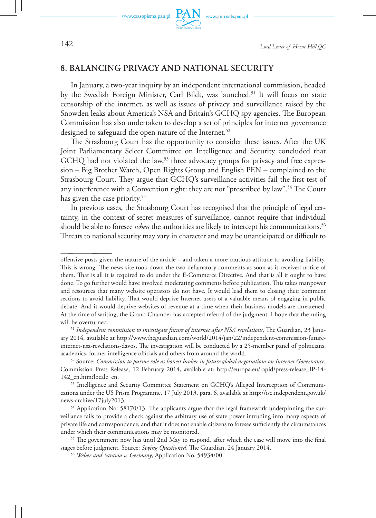

www.journals.pan.pl

## **8. Balancing privacy and national security**

In January, a two-year inquiry by an independent international commission, headed by the Swedish Foreign Minister, Carl Bildt, was launched.<sup>51</sup> It will focus on state censorship of the internet, as well as issues of privacy and surveillance raised by the Snowden leaks about America's NSA and Britain's GCHQ spy agencies. The European Commission has also undertaken to develop a set of principles for internet governance designed to safeguard the open nature of the Internet.<sup>52</sup>

The Strasbourg Court has the opportunity to consider these issues. After the UK Joint Parliamentary Select Committee on Intelligence and Security concluded that GCHQ had not violated the law,<sup>53</sup> three advocacy groups for privacy and free expression – Big Brother Watch, Open Rights Group and English PEN – complained to the Strasbourg Court. They argue that GCHQ's surveillance activities fail the first test of any interference with a Convention right: they are not "prescribed by law".<sup>54</sup> The Court has given the case priority.<sup>55</sup>

In previous cases, the Strasbourg Court has recognised that the principle of legal certainty, in the context of secret measures of surveillance, cannot require that individual should be able to foresee *when* the authorities are likely to intercept his communications.<sup>56</sup> Threats to national security may vary in character and may be unanticipated or difficult to

offensive posts given the nature of the article – and taken a more cautious attitude to avoiding liability. This is wrong. The news site took down the two defamatory comments as soon as it received notice of them. That is all it is required to do under the E-Commerce Directive. And that is all it ought to have done. To go further would have involved moderating comments before publication. This takes manpower and resources that many website operators do not have. It would lead them to closing their comment sections to avoid liability. That would deprive Internet users of a valuable means of engaging in public debate. And it would deprive websites of revenue at a time when their business models are threatened. At the time of writing, the Grand Chamber has accepted referral of the judgment. I hope that the ruling will be overturned.

<sup>51</sup> *Independent commission to investigate future of internet after NSA revelations*, The Guardian, 23 January 2014, available at http://www.theguardian.com/world/2014/jan/22/independent-commission-futureinternet-nsa-revelations-davos. The investigation will be conducted by a 25-member panel of politicians, academics, former intelligence officials and others from around the world.

<sup>52</sup> Source: *Commission to pursue role as honest broker in future global negotiations on Internet Governance*, Commission Press Release, 12 February 2014, available at: http://europa.eu/rapid/press-release\_IP-14- 142\_en.htm?locale=en.

<sup>53</sup> Intelligence and Security Committee Statement on GCHQ's Alleged Interception of Communications under the US Prism Programme, 17 July 2013, para. 6, available at http://isc.independent.gov.uk/ news-archive/17july2013*.*

<sup>&</sup>lt;sup>54</sup> Application No. 58170/13. The applicants argue that the legal framework underpinning the surveillance fails to provide a check against the arbitrary use of state power intruding into many aspects of private life and correspondence; and that it does not enable citizens to foresee sufficiently the circumstances under which their communications may be monitored. 55 The government now has until 2nd May to respond, after which the case will move into the final

stages before judgment. Source: *Spying Questioned*, The Guardian, 24 January 2014.

<sup>56</sup> *Weber and Saravia v. Germany*, Application No. 54934/00.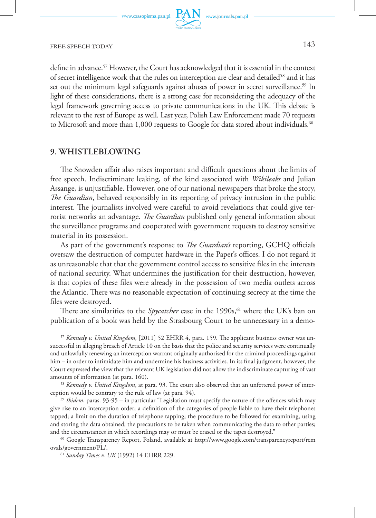

define in advance.<sup>57</sup> However, the Court has acknowledged that it is essential in the context of secret intelligence work that the rules on interception are clear and detailed<sup>58</sup> and it has set out the minimum legal safeguards against abuses of power in secret surveillance.<sup>59</sup> In light of these considerations, there is a strong case for reconsidering the adequacy of the legal framework governing access to private communications in the UK. This debate is relevant to the rest of Europe as well. Last year, Polish Law Enforcement made 70 requests to Microsoft and more than 1,000 requests to Google for data stored about individuals.<sup>60</sup>

#### **9. Whistleblowing**

The Snowden affair also raises important and difficult questions about the limits of free speech. Indiscriminate leaking, of the kind associated with *Wikileaks* and Julian Assange, is unjustifiable. However, one of our national newspapers that broke the story, *The Guardian*, behaved responsibly in its reporting of privacy intrusion in the public interest. The journalists involved were careful to avoid revelations that could give terrorist networks an advantage. *The Guardian* published only general information about the surveillance programs and cooperated with government requests to destroy sensitive material in its possession.

As part of the government's response to *The Guardian's* reporting, GCHQ officials oversaw the destruction of computer hardware in the Paper's offices. I do not regard it as unreasonable that that the government control access to sensitive files in the interests of national security. What undermines the justification for their destruction, however, is that copies of these files were already in the possession of two media outlets across the Atlantic. There was no reasonable expectation of continuing secrecy at the time the files were destroyed.

There are similarities to the *Spycatcher* case in the 1990s,<sup>61</sup> where the UK's ban on publication of a book was held by the Strasbourg Court to be unnecessary in a demo-

<sup>57</sup> *Kennedy v. United Kingdom,* [2011] 52 EHRR 4, para. 159*.* The applicant business owner was unsuccessful in alleging breach of Article 10 on the basis that the police and security services were continually and unlawfully renewing an interception warrant originally authorised for the criminal proceedings against him – in order to intimidate him and undermine his business activities. In its final judgment, however, the Court expressed the view that the relevant UK legislation did not allow the indiscriminate capturing of vast amounts of information (at para. 160).

<sup>58</sup> *Kennedy v. United Kingdom*, at para. 93. The court also observed that an unfettered power of interception would be contrary to the rule of law (at para. 94).

<sup>59</sup> *Ibidem*, paras. 93-95 – in particular "Legislation must specify the nature of the offences which may give rise to an interception order; a definition of the categories of people liable to have their telephones tapped; a limit on the duration of telephone tapping; the procedure to be followed for examining, using and storing the data obtained; the precautions to be taken when communicating the data to other parties; and the circumstances in which recordings may or must be erased or the tapes destroyed."

<sup>60</sup> Google Transparency Report, Poland, available at http://www.google.com/transparencyreport/rem ovals/government/PL/.

<sup>61</sup> *Sunday Times v. UK* (1992) 14 EHRR 229.